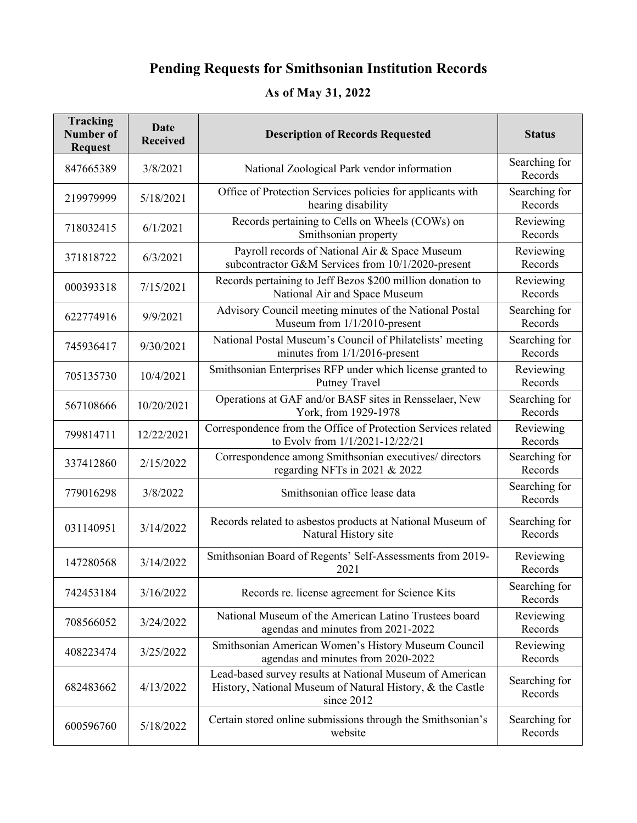## **Pending Requests for Smithsonian Institution Records**

## **As of May 31, 2022**

| <b>Tracking</b><br><b>Number of</b><br><b>Request</b> | <b>Date</b><br><b>Received</b> | <b>Description of Records Requested</b>                                                                                             | <b>Status</b>            |
|-------------------------------------------------------|--------------------------------|-------------------------------------------------------------------------------------------------------------------------------------|--------------------------|
| 847665389                                             | 3/8/2021                       | National Zoological Park vendor information                                                                                         | Searching for<br>Records |
| 219979999                                             | 5/18/2021                      | Office of Protection Services policies for applicants with<br>hearing disability                                                    | Searching for<br>Records |
| 718032415                                             | 6/1/2021                       | Records pertaining to Cells on Wheels (COWs) on<br>Smithsonian property                                                             | Reviewing<br>Records     |
| 371818722                                             | 6/3/2021                       | Payroll records of National Air & Space Museum<br>subcontractor G&M Services from 10/1/2020-present                                 | Reviewing<br>Records     |
| 000393318                                             | 7/15/2021                      | Records pertaining to Jeff Bezos \$200 million donation to<br>National Air and Space Museum                                         | Reviewing<br>Records     |
| 622774916                                             | 9/9/2021                       | Advisory Council meeting minutes of the National Postal<br>Museum from 1/1/2010-present                                             | Searching for<br>Records |
| 745936417                                             | 9/30/2021                      | National Postal Museum's Council of Philatelists' meeting<br>minutes from 1/1/2016-present                                          | Searching for<br>Records |
| 705135730                                             | 10/4/2021                      | Smithsonian Enterprises RFP under which license granted to<br>Putney Travel                                                         | Reviewing<br>Records     |
| 567108666                                             | 10/20/2021                     | Operations at GAF and/or BASF sites in Rensselaer, New<br>York, from 1929-1978                                                      | Searching for<br>Records |
| 799814711                                             | 12/22/2021                     | Correspondence from the Office of Protection Services related<br>to Evolv from 1/1/2021-12/22/21                                    | Reviewing<br>Records     |
| 337412860                                             | 2/15/2022                      | Correspondence among Smithsonian executives/ directors<br>regarding NFTs in 2021 & 2022                                             | Searching for<br>Records |
| 779016298                                             | 3/8/2022                       | Smithsonian office lease data                                                                                                       | Searching for<br>Records |
| 031140951                                             | 3/14/2022                      | Records related to asbestos products at National Museum of<br>Natural History site                                                  | Searching for<br>Records |
| 147280568                                             | 3/14/2022                      | Smithsonian Board of Regents' Self-Assessments from 2019-<br>2021                                                                   | Reviewing<br>Records     |
| 742453184                                             | 3/16/2022                      | Records re. license agreement for Science Kits                                                                                      | Searching for<br>Records |
| 708566052                                             | 3/24/2022                      | National Museum of the American Latino Trustees board<br>agendas and minutes from 2021-2022                                         | Reviewing<br>Records     |
| 408223474                                             | 3/25/2022                      | Smithsonian American Women's History Museum Council<br>agendas and minutes from 2020-2022                                           | Reviewing<br>Records     |
| 682483662                                             | 4/13/2022                      | Lead-based survey results at National Museum of American<br>History, National Museum of Natural History, & the Castle<br>since 2012 | Searching for<br>Records |
| 600596760                                             | 5/18/2022                      | Certain stored online submissions through the Smithsonian's<br>website                                                              | Searching for<br>Records |